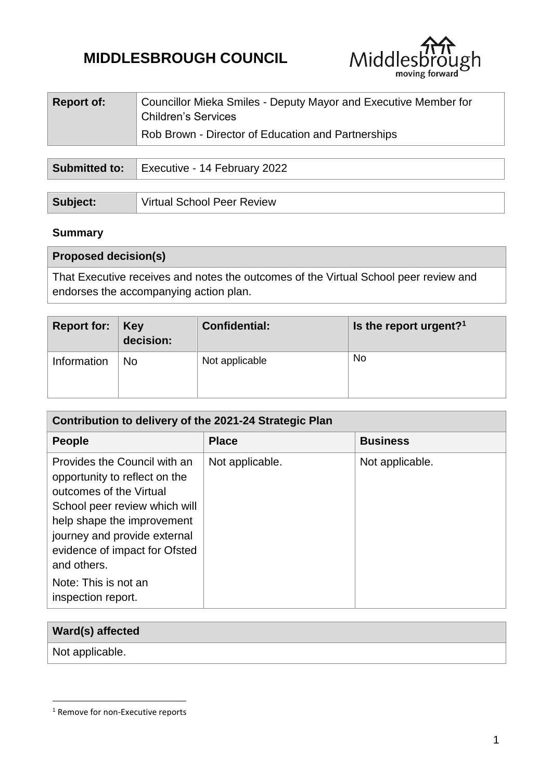# **MIDDLESBROUGH COUNCIL**



| <b>Report of:</b> | Councillor Mieka Smiles - Deputy Mayor and Executive Member for<br><b>Children's Services</b> |
|-------------------|-----------------------------------------------------------------------------------------------|
|                   | Rob Brown - Director of Education and Partnerships                                            |
|                   |                                                                                               |

| <b>Submitted to:</b> | Executive - 14 February 2022      |  |
|----------------------|-----------------------------------|--|
|                      |                                   |  |
| Subject:             | <b>Virtual School Peer Review</b> |  |

## **Summary**

| <b>Proposed decision(s)</b>                                                                                                    |  |
|--------------------------------------------------------------------------------------------------------------------------------|--|
| That Executive receives and notes the outcomes of the Virtual School peer review and<br>endorses the accompanying action plan. |  |

| <b>Report for: Key</b> | decision: | <b>Confidential:</b> | Is the report urgent? <sup>1</sup> |
|------------------------|-----------|----------------------|------------------------------------|
| Information            | <b>No</b> | Not applicable       | No                                 |

| Contribution to delivery of the 2021-24 Strategic Plan                                                                                                                                                                                                                                |                 |                 |  |  |  |
|---------------------------------------------------------------------------------------------------------------------------------------------------------------------------------------------------------------------------------------------------------------------------------------|-----------------|-----------------|--|--|--|
| <b>People</b>                                                                                                                                                                                                                                                                         | <b>Place</b>    | <b>Business</b> |  |  |  |
| Provides the Council with an<br>opportunity to reflect on the<br>outcomes of the Virtual<br>School peer review which will<br>help shape the improvement<br>journey and provide external<br>evidence of impact for Ofsted<br>and others.<br>Note: This is not an<br>inspection report. | Not applicable. | Not applicable. |  |  |  |

| Ward(s) affected |  |
|------------------|--|
| Not applicable.  |  |

1

<sup>&</sup>lt;sup>1</sup> Remove for non-Executive reports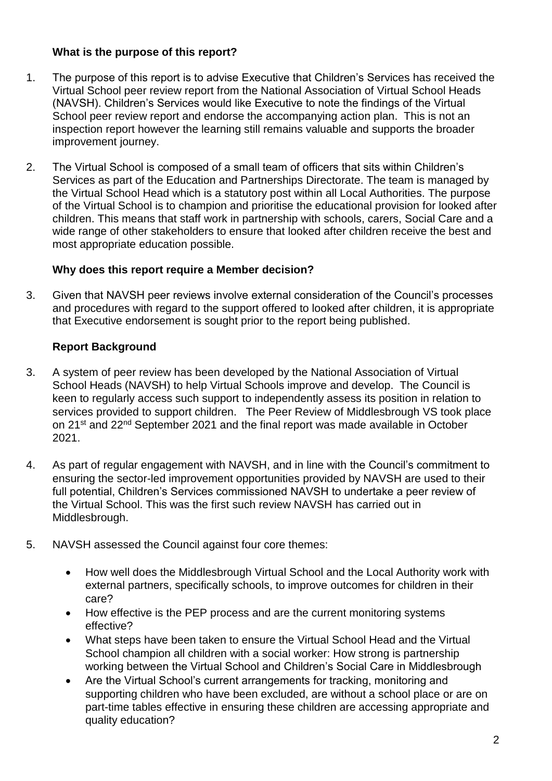### **What is the purpose of this report?**

- 1. The purpose of this report is to advise Executive that Children's Services has received the Virtual School peer review report from the National Association of Virtual School Heads (NAVSH). Children's Services would like Executive to note the findings of the Virtual School peer review report and endorse the accompanying action plan. This is not an inspection report however the learning still remains valuable and supports the broader improvement journey.
- 2. The Virtual School is composed of a small team of officers that sits within Children's Services as part of the Education and Partnerships Directorate. The team is managed by the Virtual School Head which is a statutory post within all Local Authorities. The purpose of the Virtual School is to champion and prioritise the educational provision for looked after children. This means that staff work in partnership with schools, carers, Social Care and a wide range of other stakeholders to ensure that looked after children receive the best and most appropriate education possible.

#### **Why does this report require a Member decision?**

3. Given that NAVSH peer reviews involve external consideration of the Council's processes and procedures with regard to the support offered to looked after children, it is appropriate that Executive endorsement is sought prior to the report being published.

## **Report Background**

- 3. A system of peer review has been developed by the National Association of Virtual School Heads (NAVSH) to help Virtual Schools improve and develop. The Council is keen to regularly access such support to independently assess its position in relation to services provided to support children. The Peer Review of Middlesbrough VS took place on 21<sup>st</sup> and 22<sup>nd</sup> September 2021 and the final report was made available in October 2021.
- 4. As part of regular engagement with NAVSH, and in line with the Council's commitment to ensuring the sector-led improvement opportunities provided by NAVSH are used to their full potential, Children's Services commissioned NAVSH to undertake a peer review of the Virtual School. This was the first such review NAVSH has carried out in Middlesbrough.
- 5. NAVSH assessed the Council against four core themes:
	- How well does the Middlesbrough Virtual School and the Local Authority work with external partners, specifically schools, to improve outcomes for children in their care?
	- How effective is the PEP process and are the current monitoring systems effective?
	- What steps have been taken to ensure the Virtual School Head and the Virtual School champion all children with a social worker: How strong is partnership working between the Virtual School and Children's Social Care in Middlesbrough
	- Are the Virtual School's current arrangements for tracking, monitoring and supporting children who have been excluded, are without a school place or are on part-time tables effective in ensuring these children are accessing appropriate and quality education?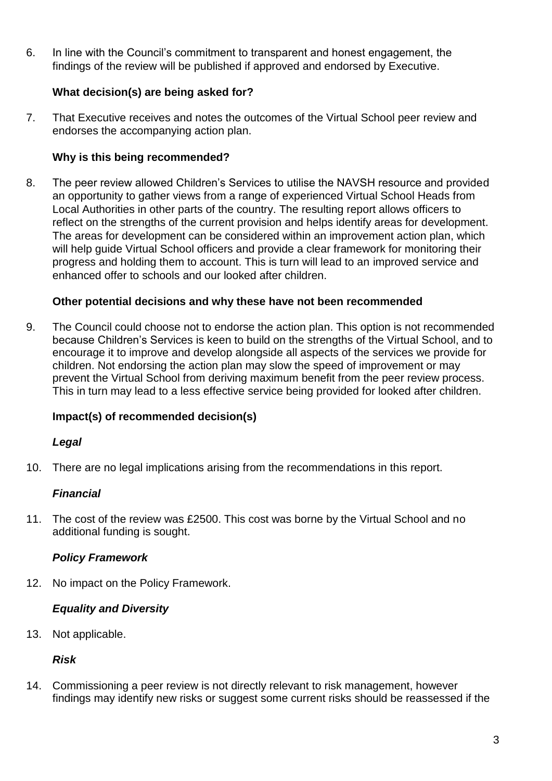6. In line with the Council's commitment to transparent and honest engagement, the findings of the review will be published if approved and endorsed by Executive.

## **What decision(s) are being asked for?**

7. That Executive receives and notes the outcomes of the Virtual School peer review and endorses the accompanying action plan.

## **Why is this being recommended?**

8. The peer review allowed Children's Services to utilise the NAVSH resource and provided an opportunity to gather views from a range of experienced Virtual School Heads from Local Authorities in other parts of the country. The resulting report allows officers to reflect on the strengths of the current provision and helps identify areas for development. The areas for development can be considered within an improvement action plan, which will help guide Virtual School officers and provide a clear framework for monitoring their progress and holding them to account. This is turn will lead to an improved service and enhanced offer to schools and our looked after children.

#### **Other potential decisions and why these have not been recommended**

9. The Council could choose not to endorse the action plan. This option is not recommended because Children's Services is keen to build on the strengths of the Virtual School, and to encourage it to improve and develop alongside all aspects of the services we provide for children. Not endorsing the action plan may slow the speed of improvement or may prevent the Virtual School from deriving maximum benefit from the peer review process. This in turn may lead to a less effective service being provided for looked after children.

#### **Impact(s) of recommended decision(s)**

#### *Legal*

10. There are no legal implications arising from the recommendations in this report.

#### *Financial*

11. The cost of the review was £2500. This cost was borne by the Virtual School and no additional funding is sought.

#### *Policy Framework*

12. No impact on the Policy Framework.

#### *Equality and Diversity*

13. Not applicable.

#### *Risk*

14. Commissioning a peer review is not directly relevant to risk management, however findings may identify new risks or suggest some current risks should be reassessed if the